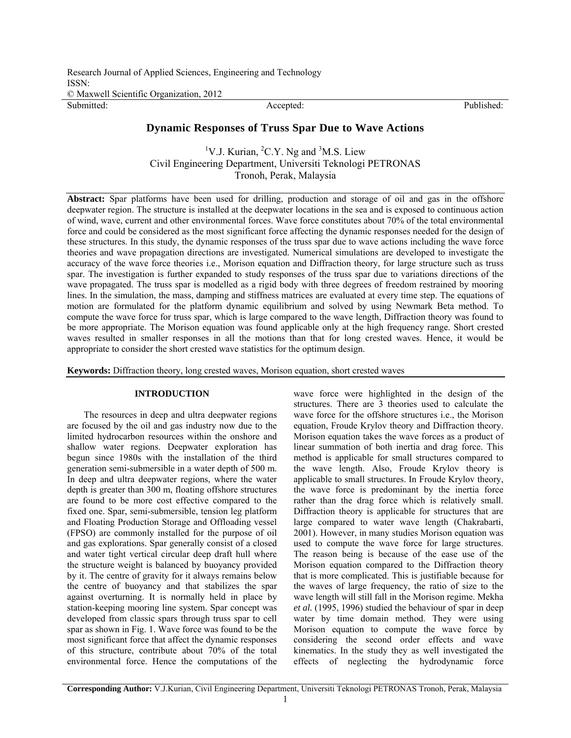Research Journal of Applied Sciences, Engineering and Technology ISSN:

© Maxwell Scientific Organization, 2012

Submitted: The Contract of the Contract Accepted: Published: Published: Published: Published:

# **Dynamic Responses of Truss Spar Due to Wave Actions**

<sup>1</sup>V.J. Kurian, <sup>2</sup>C.Y. Ng and <sup>3</sup>M.S. Liew Civil Engineering Department, Universiti Teknologi PETRONAS Tronoh, Perak, Malaysia

**Abstract:** Spar platforms have been used for drilling, production and storage of oil and gas in the offshore deepwater region. The structure is installed at the deepwater locations in the sea and is exposed to continuous action of wind, wave, current and other environmental forces. Wave force constitutes about 70% of the total environmental force and could be considered as the most significant force affecting the dynamic responses needed for the design of these structures. In this study, the dynamic responses of the truss spar due to wave actions including the wave force theories and wave propagation directions are investigated. Numerical simulations are developed to investigate the accuracy of the wave force theories i.e., Morison equation and Diffraction theory, for large structure such as truss spar. The investigation is further expanded to study responses of the truss spar due to variations directions of the wave propagated. The truss spar is modelled as a rigid body with three degrees of freedom restrained by mooring lines. In the simulation, the mass, damping and stiffness matrices are evaluated at every time step. The equations of motion are formulated for the platform dynamic equilibrium and solved by using Newmark Beta method. To compute the wave force for truss spar, which is large compared to the wave length, Diffraction theory was found to be more appropriate. The Morison equation was found applicable only at the high frequency range. Short crested waves resulted in smaller responses in all the motions than that for long crested waves. Hence, it would be appropriate to consider the short crested wave statistics for the optimum design.

**Keywords:** Diffraction theory, long crested waves, Morison equation, short crested waves

# **INTRODUCTION**

The resources in deep and ultra deepwater regions are focused by the oil and gas industry now due to the limited hydrocarbon resources within the onshore and shallow water regions. Deepwater exploration has begun since 1980s with the installation of the third generation semi-submersible in a water depth of 500 m. In deep and ultra deepwater regions, where the water depth is greater than 300 m, floating offshore structures are found to be more cost effective compared to the fixed one. Spar, semi-submersible, tension leg platform and Floating Production Storage and Offloading vessel (FPSO) are commonly installed for the purpose of oil and gas explorations. Spar generally consist of a closed and water tight vertical circular deep draft hull where the structure weight is balanced by buoyancy provided by it. The centre of gravity for it always remains below the centre of buoyancy and that stabilizes the spar against overturning. It is normally held in place by station-keeping mooring line system. Spar concept was developed from classic spars through truss spar to cell spar as shown in Fig. 1. Wave force was found to be the most significant force that affect the dynamic responses of this structure, contribute about 70% of the total environmental force. Hence the computations of the

wave force were highlighted in the design of the structures. There are 3 theories used to calculate the wave force for the offshore structures i.e., the Morison equation, Froude Krylov theory and Diffraction theory. Morison equation takes the wave forces as a product of linear summation of both inertia and drag force. This method is applicable for small structures compared to the wave length. Also, Froude Krylov theory is applicable to small structures. In Froude Krylov theory, the wave force is predominant by the inertia force rather than the drag force which is relatively small. Diffraction theory is applicable for structures that are large compared to water wave length (Chakrabarti, 2001). However, in many studies Morison equation was used to compute the wave force for large structures. The reason being is because of the ease use of the Morison equation compared to the Diffraction theory that is more complicated. This is justifiable because for the waves of large frequency, the ratio of size to the wave length will still fall in the Morison regime. Mekha *et al.* (1995, 1996) studied the behaviour of spar in deep water by time domain method. They were using Morison equation to compute the wave force by considering the second order effects and wave kinematics. In the study they as well investigated the effects of neglecting the hydrodynamic force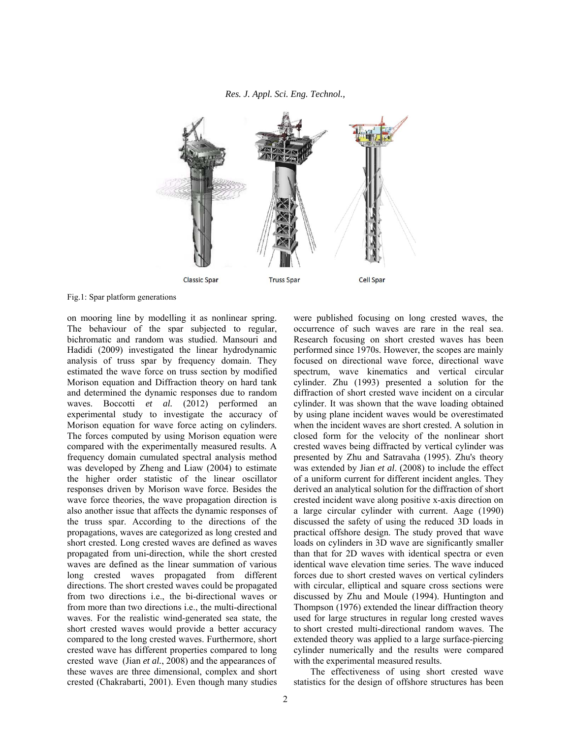*Res. J. Appl. Sci. Eng. Technol.,* 



Fig.1: Spar platform generations

on mooring line by modelling it as nonlinear spring. The behaviour of the spar subjected to regular, bichromatic and random was studied. Mansouri and Hadidi (2009) investigated the linear hydrodynamic analysis of truss spar by frequency domain. They estimated the wave force on truss section by modified Morison equation and Diffraction theory on hard tank and determined the dynamic responses due to random waves. Boccotti et al. (2012) performed an experimental study to investigate the accuracy of Morison equation for wave force acting on cylinders. The forces computed by using Morison equation were compared with the experimentally measured results. A frequency domain cumulated spectral analysis method was developed by Zheng and Liaw (2004) to estimate the higher order statistic of the linear oscillator responses driven by Morison wave force. Besides the wave force theories, the wave propagation direction is also another issue that affects the dynamic responses of the truss spar. According to the directions of the propagations, waves are categorized as long crested and short crested. Long crested waves are defined as waves propagated from uni-direction, while the short crested waves are defined as the linear summation of various long crested waves propagated from different directions. The short crested waves could be propagated from two directions i.e., the bi-directional waves or from more than two directions i.e., the multi-directional waves. For the realistic wind-generated sea state, the short crested waves would provide a better accuracy compared to the long crested waves. Furthermore, short crested wave has different properties compared to long crested wave (Jian *et al.*, 2008) and the appearances of these waves are three dimensional, complex and short crested (Chakrabarti, 2001). Even though many studies

were published focusing on long crested waves, the occurrence of such waves are rare in the real sea. Research focusing on short crested waves has been performed since 1970s. However, the scopes are mainly focused on directional wave force, directional wave spectrum, wave kinematics and vertical circular cylinder. Zhu (1993) presented a solution for the diffraction of short crested wave incident on a circular cylinder. It was shown that the wave loading obtained by using plane incident waves would be overestimated when the incident waves are short crested. A solution in closed form for the velocity of the nonlinear short crested waves being diffracted by vertical cylinder was presented by Zhu and Satravaha (1995). Zhu's theory was extended by Jian *et al*. (2008) to include the effect of a uniform current for different incident angles. They derived an analytical solution for the diffraction of short crested incident wave along positive x-axis direction on a large circular cylinder with current. Aage (1990) discussed the safety of using the reduced 3D loads in practical offshore design. The study proved that wave loads on cylinders in 3D wave are significantly smaller than that for 2D waves with identical spectra or even identical wave elevation time series. The wave induced forces due to short crested waves on vertical cylinders with circular, elliptical and square cross sections were discussed by Zhu and Moule (1994). Huntington and Thompson (1976) extended the linear diffraction theory used for large structures in regular long crested waves to short crested multi-directional random waves. The extended theory was applied to a large surface-piercing cylinder numerically and the results were compared with the experimental measured results.

The effectiveness of using short crested wave statistics for the design of offshore structures has been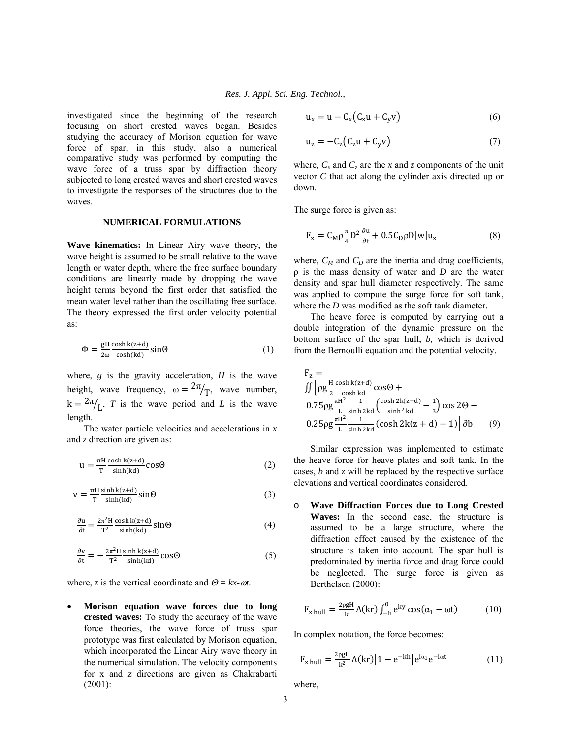investigated since the beginning of the research focusing on short crested waves began. Besides studying the accuracy of Morison equation for wave force of spar, in this study, also a numerical comparative study was performed by computing the wave force of a truss spar by diffraction theory subjected to long crested waves and short crested waves to investigate the responses of the structures due to the waves.

### **NUMERICAL FORMULATIONS**

**Wave kinematics:** In Linear Airy wave theory, the wave height is assumed to be small relative to the wave length or water depth, where the free surface boundary conditions are linearly made by dropping the wave height terms beyond the first order that satisfied the mean water level rather than the oscillating free surface. The theory expressed the first order velocity potential as:

$$
\Phi = \frac{\text{gH}}{2\omega} \frac{\cosh k(z+d)}{\cosh(kd)} \sin \Theta \tag{1}
$$

where,  $g$  is the gravity acceleration,  $H$  is the wave height, wave frequency,  $\omega = \frac{2\pi}{T}$ , wave number,  $k = \frac{2\pi}{L}$ , *T* is the wave period and *L* is the wave length.

The water particle velocities and accelerations in *x* and *z* direction are given as:

$$
u = \frac{\pi H \cosh k(z+d)}{T \sinh(kd)} \cos \Theta
$$
 (2)

$$
v = \frac{\pi H \sinh k(z+d)}{T \sinh(kd)} \sin \Theta
$$
 (3)

$$
\frac{\partial u}{\partial t} = \frac{2\pi^2 H}{T^2} \frac{\cosh k(z+d)}{\sinh(kd)} \sin\Theta \tag{4}
$$

$$
\frac{\partial v}{\partial t} = -\frac{2\pi^2 H \sinh(k(z+d))}{T^2 \sinh(kd)} \cos\Theta \tag{5}
$$

where, *z* is the vertical coordinate and  $\Theta = kx - \omega t$ .

 **Morison equation wave forces due to long crested waves:** To study the accuracy of the wave force theories, the wave force of truss spar prototype was first calculated by Morison equation, which incorporated the Linear Airy wave theory in the numerical simulation. The velocity components for x and z directions are given as Chakrabarti (2001):

$$
u_x = u - C_x (C_x u + C_y v) \tag{6}
$$

$$
u_z = -C_z(C_z u + C_y v) \tag{7}
$$

where,  $C_x$  and  $C_z$  are the *x* and *z* components of the unit vector *C* that act along the cylinder axis directed up or down.

The surge force is given as:

$$
F_x = C_M \rho \frac{\pi}{4} D^2 \frac{\partial u}{\partial t} + 0.5 C_D \rho D |w| u_x \tag{8}
$$

where,  $C_M$  and  $C_D$  are the inertia and drag coefficients, ρ is the mass density of water and *D* are the water density and spar hull diameter respectively. The same was applied to compute the surge force for soft tank, where the *D* was modified as the soft tank diameter.

The heave force is computed by carrying out a double integration of the dynamic pressure on the bottom surface of the spar hull, *b,* which is derived from the Bernoulli equation and the potential velocity.

$$
F_z = \iint \left[ \rho g \frac{H \cosh k(z+d)}{2 \cosh kd} \cos \Theta + \right.
$$
  
0.75 $\rho g \frac{\pi H^2}{L} \frac{1}{\sinh 2kd} \left( \frac{\cosh 2k(z+d)}{\sinh^2 kd} - \frac{1}{3} \right) \cos 2\Theta - \right.$   
0.25 $\rho g \frac{\pi H^2}{L} \frac{1}{\sinh 2kd} (\cosh 2k(z+d) - 1) \right] \partial b \qquad (9)$ 

Similar expression was implemented to estimate the heave force for heave plates and soft tank. In the cases, *b* and *z* will be replaced by the respective surface elevations and vertical coordinates considered.

o **Wave Diffraction Forces due to Long Crested Waves:** In the second case, the structure is assumed to be a large structure, where the diffraction effect caused by the existence of the structure is taken into account. The spar hull is predominated by inertia force and drag force could be neglected. The surge force is given as Berthelsen (2000):

$$
F_{x \text{ hull}} = \frac{2\rho g H}{k} A(kr) \int_{-h}^{0} e^{ky} \cos(\alpha_1 - \omega t) \tag{10}
$$

In complex notation, the force becomes:

$$
F_{x \text{ hull}} = \frac{2\rho g H}{k^2} A(kr) \left[ 1 - e^{-kh} \right] e^{i\alpha_1} e^{-i\omega t} \tag{11}
$$

where,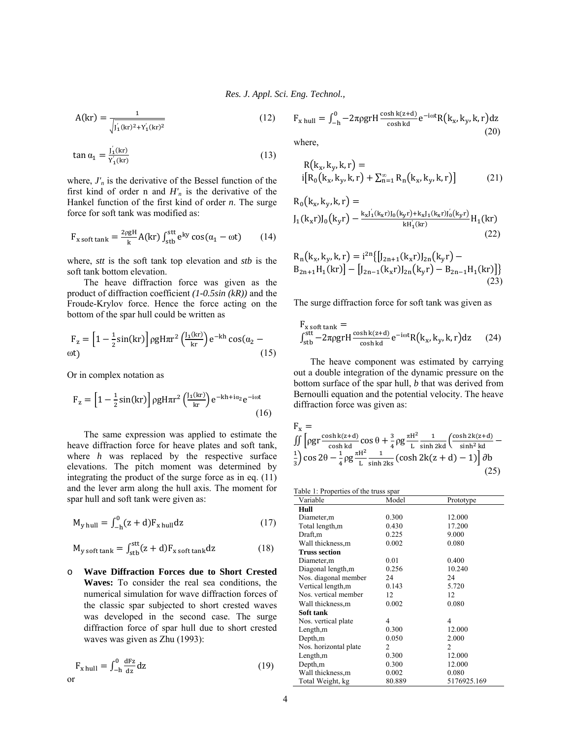*Res. J. Appl. Sci. Eng. Technol.,* 

$$
A(kr) = \frac{1}{\sqrt{J_1'(kr)^2 + Y_1'(kr)^2}}
$$
(12)

$$
\tan \alpha_1 = \frac{J_1'(\text{kr})}{Y_1(\text{kr})}
$$
\n(13)

where,  $J'_n$  is the derivative of the Bessel function of the first kind of order n and  $H'_n$  is the derivative of the Hankel function of the first kind of order *n*. The surge force for soft tank was modified as:

$$
F_{x\text{ soft tank}} = \frac{2\rho gH}{k} A(kr) \int_{\text{stb}}^{\text{stt}} e^{ky} \cos(\alpha_1 - \omega t) \qquad (14)
$$

where, *stt* is the soft tank top elevation and *stb* is the soft tank bottom elevation.

The heave diffraction force was given as the product of diffraction coefficient *(1-0.5sin (kR))* and the Froude-Krylov force. Hence the force acting on the bottom of the spar hull could be written as

$$
F_z = \left[1 - \frac{1}{2}\sin(kr)\right] \rho g H \pi r^2 \left(\frac{J_1(kr)}{kr}\right) e^{-kh} \cos(\alpha_2 - \omega t) \tag{15}
$$

Or in complex notation as

$$
F_z = \left[1 - \frac{1}{2}\sin(kr)\right] \rho g H \pi r^2 \left(\frac{J_1(kr)}{kr}\right) e^{-kh + i\alpha_2} e^{-i\omega t}
$$
\n(16)

The same expression was applied to estimate the heave diffraction force for heave plates and soft tank, where *h* was replaced by the respective surface elevations. The pitch moment was determined by integrating the product of the surge force as in eq. (11) and the lever arm along the hull axis. The moment for spar hull and soft tank were given as:

$$
M_{y \text{ hull}} = \int_{-h}^{0} (z + d) F_{x \text{ hull}} dz \tag{17}
$$

$$
M_{y\text{ soft tank}} = \int_{\text{stb}}^{\text{stt}} (z + d) F_{x\text{ soft tank}} dz \tag{18}
$$

o **Wave Diffraction Forces due to Short Crested Waves:** To consider the real sea conditions, the numerical simulation for wave diffraction forces of the classic spar subjected to short crested waves was developed in the second case. The surge diffraction force of spar hull due to short crested waves was given as Zhu (1993):

$$
F_{x \text{ hull}} = \int_{-h}^{0} \frac{dFz}{dz} dz
$$
 (19)

$$
F_{x \text{ hull}} = \int_{-h}^{0} -2\pi\rho g r H \frac{\cosh k(z+d)}{\cosh kd} e^{-i\omega t} R(k_x, k_y, k, r) dz
$$
\n(20)

where,

$$
R(k_x, k_y, k, r) = \n i[R_0(k_x, k_y, k, r) + \sum_{n=1}^{\infty} R_n(k_x, k_y, k, r)]
$$
\n(21)

$$
R_0(k_x, k_y, k, r) =
$$
  
\n
$$
J_1(k_x r)J_0(k_y r) - \frac{k_x J_1'(k_x r)J_0(k_y r) + k_x J_1(k_x r)J_0'(k_y r)}{k H_1(kr)}
$$
  
\n(22)

$$
R_n(k_x, k_y, k, r) = i^{2n} \{ [J_{2n+1}(k_x r)J_{2n}(k_y r) - B_{2n+1} H_1(kr)] - [J_{2n-1}(k_x r)J_{2n}(k_y r) - B_{2n-1} H_1(kr)] \}
$$
\n(23)

The surge diffraction force for soft tank was given as

$$
F_{x \text{ soft tank}} = f_{\text{stb}}^{\text{stt}} - 2\pi\rho g r H \frac{\cosh k(z+d)}{\cosh kd} e^{-i\omega t} R(k_x, k_y, k, r) dz \qquad (24)
$$

The heave component was estimated by carrying out a double integration of the dynamic pressure on the bottom surface of the spar hull, *b* that was derived from Bernoulli equation and the potential velocity. The heave diffraction force was given as:

$$
F_x = \iint \left[ \rho g r \frac{\cosh k(z+d)}{\cosh kd} \cos \theta + \frac{3}{4} \rho g \frac{\pi H^2}{L} \frac{1}{\sinh 2kd} \left( \frac{\cosh 2k(z+d)}{\sinh^2 kd} - \frac{1}{3} \right) \cos 2\theta - \frac{1}{4} \rho g \frac{\pi H^2}{L} \frac{1}{\sinh 2ks} (\cosh 2k(z+d) - 1) \right] \partial b \tag{25}
$$

| Variable              | Model  | Prototype   |
|-----------------------|--------|-------------|
| Hull                  |        |             |
| Diameter, m           | 0.300  | 12.000      |
| Total length, m       | 0.430  | 17.200      |
| Draft,m               | 0.225  | 9.000       |
| Wall thickness,m      | 0.002  | 0.080       |
| <b>Truss section</b>  |        |             |
| Diameter,m            | 0.01   | 0.400       |
| Diagonal length, m    | 0.256  | 10.240      |
| Nos. diagonal member  | 24     | 24          |
| Vertical length,m     | 0.143  | 5.720       |
| Nos. vertical member  | 12     | 12          |
| Wall thickness,m      | 0.002  | 0.080       |
| Soft tank             |        |             |
| Nos. vertical plate   | 4      | 4           |
| Length, m             | 0.300  | 12.000      |
| Depth,m               | 0.050  | 2.000       |
| Nos. horizontal plate | 2      | 2           |
| Length,m              | 0.300  | 12.000      |
| Depth,m               | 0.300  | 12.000      |
| Wall thickness,m      | 0.002  | 0.080       |
| Total Weight, kg      | 80.889 | 5176925.169 |
|                       |        |             |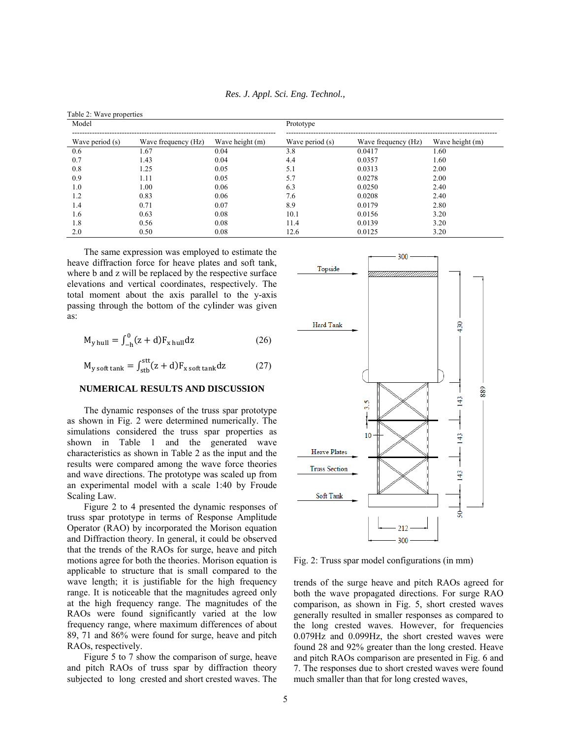| Model           |                     | Prototype       |                 |                     |                 |
|-----------------|---------------------|-----------------|-----------------|---------------------|-----------------|
| Wave period (s) | Wave frequency (Hz) | Wave height (m) | Wave period (s) | Wave frequency (Hz) | Wave height (m) |
| 0.6             | 1.67                | 0.04            | 3.8             | 0.0417              | 1.60            |
| 0.7             | 1.43                | 0.04            | 4.4             | 0.0357              | 1.60            |
| 0.8             | 1.25                | 0.05            | 5.1             | 0.0313              | 2.00            |
| 0.9             | 1.11                | 0.05            | 5.7             | 0.0278              | 2.00            |
| 1.0             | 1.00                | 0.06            | 6.3             | 0.0250              | 2.40            |
| 1.2             | 0.83                | 0.06            | 7.6             | 0.0208              | 2.40            |
| 1.4             | 0.71                | 0.07            | 8.9             | 0.0179              | 2.80            |
| 1.6             | 0.63                | 0.08            | 10.1            | 0.0156              | 3.20            |
| 1.8             | 0.56                | 0.08            | 11.4            | 0.0139              | 3.20            |
| 2.0             | 0.50                | 0.08            | 12.6            | 0.0125              | 3.20            |

*Res. J. App pl. Sci. Eng. Te chnol.,* 

The same expression was employed to estimate the heave diffraction force for heave plates and soft tank, where b and z will be replaced by the respective surface elevations and vertical coordinates, respectively. The total moment about the axis parallel to the y-axis passing through the bottom of the cylinder was given as:

$$
M_{y \text{ hull}} = \int_{-h}^{0} (z + d) F_{x \text{ hull}} dz
$$
 (26)

$$
M_{y\text{ soft tank}} = \int_{\text{stb}}^{\text{stt}} (z + d) F_{x\text{ soft tank}} dz \qquad (27)
$$

## **NUME ERICAL RESU ULTS AND D DISCUSSION**

The dynamic responses of the truss spar prototype as shown in Fig. 2 were determined numerically. The simulations considered the truss spar properties as shown in Table 1 and the generated wave characteristics as shown in Table 2 as the input and the results were compared among the wave force theories and wave directions. The prototype was scaled up from an experimental model with a scale 1:40 by Froude Scaling Law.

Figure 2 to 4 presented the dynamic responses of truss spar prototype in terms of Response Amplitude Operator (RAO) by incorporated the Morison equation and Diffraction theory. In general, it could be observed that the trends of the RAOs for surge, heave and pitch motions agree for both the theories. Morison equation is applicable to structure that is small compared to the wave length; it is justifiable for the high frequency range. It is noticeable that the magnitudes agreed only at the high frequency range. The magnitudes of the RAOs were found significantly varied at the low frequency range, where maximum differences of about 89, 71 and 86% were found for surge, heave and pitch RAOs, respectively.

Figure 5 to 7 show the comparison of surge, heave and pitch RAOs of truss spar by diffraction theory subjected to long crested and short crested waves. The



Fig. 2: Truss spar model configurations (in mm)

trends of the surge heave and pitch RAOs agreed for both the wave propagated directions. For surge RAO comparison, as shown in Fig. 5, short crested waves generally resulted in smaller responses as compared to the long crested waves. However, for frequencies 0.079H Hz and 0.099H Hz, the short crested waves s were found 28 and 92% greater than the long crested. Heave and pit ch RAOs comp parison are pre esented in Fig. 6 and 7. The responses due to short crested waves were found much smaller than that for long crested waves,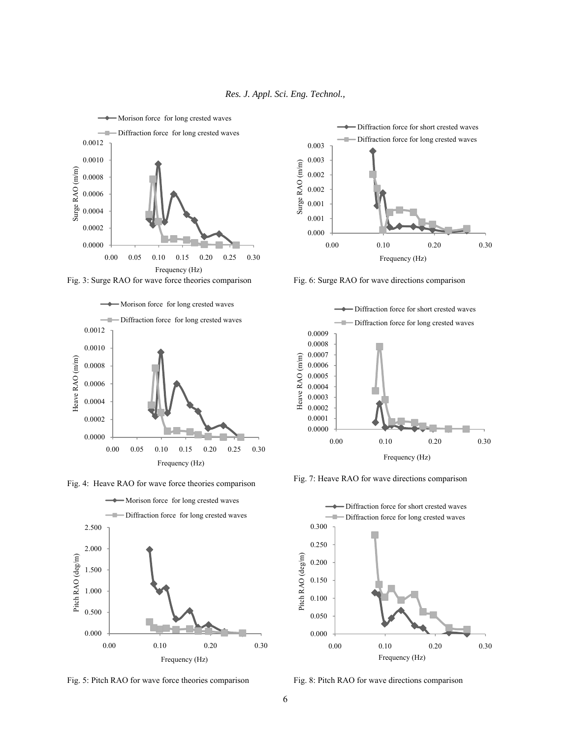

















Fig. 7: Heave RAO for wave directions comparison



Fig. 8: Pitch RAO for wave directions comparison